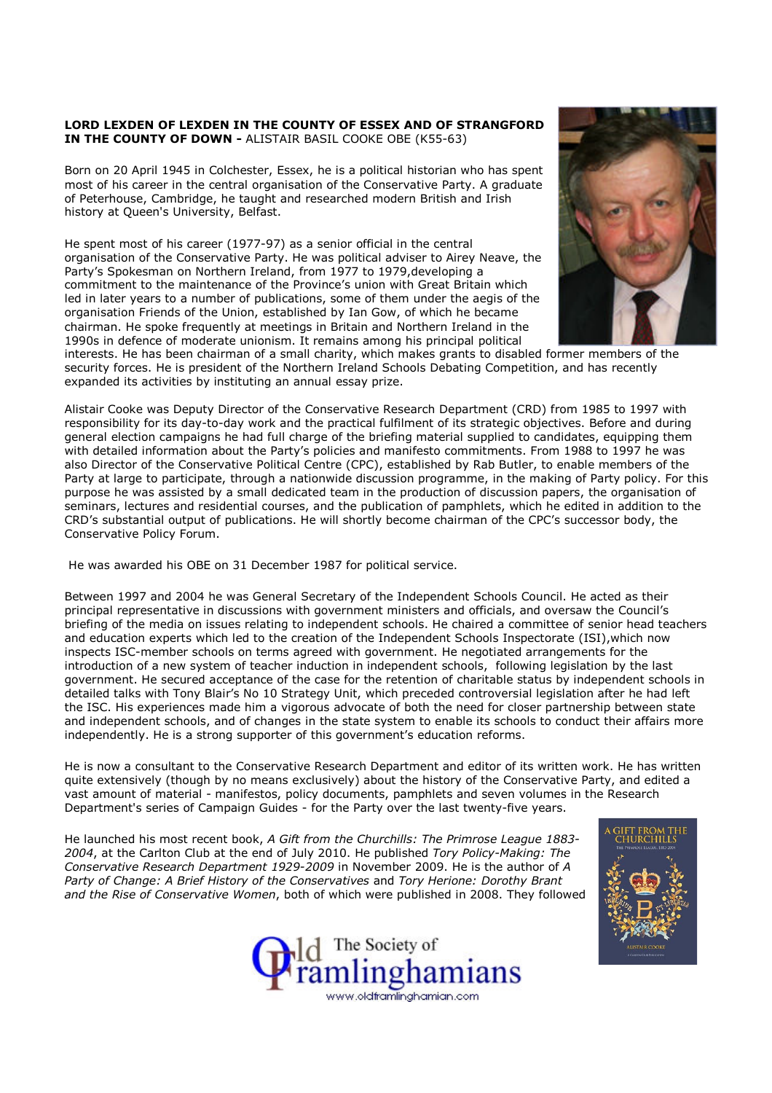## LORD LEXDEN OF LEXDEN IN THE COUNTY OF ESSEX AND OF STRANGFORD IN THE COUNTY OF DOWN - ALISTAIR BASIL COOKE OBE (K55-63)

Born on 20 April 1945 in Colchester, Essex, he is a political historian who has spent most of his career in the central organisation of the Conservative Party. A graduate of Peterhouse, Cambridge, he taught and researched modern British and Irish history at Queen's University, Belfast.

He spent most of his career (1977-97) as a senior official in the central organisation of the Conservative Party. He was political adviser to Airey Neave, the Party's Spokesman on Northern Ireland, from 1977 to 1979,developing a commitment to the maintenance of the Province's union with Great Britain which led in later years to a number of publications, some of them under the aegis of the organisation Friends of the Union, established by Ian Gow, of which he became chairman. He spoke frequently at meetings in Britain and Northern Ireland in the 1990s in defence of moderate unionism. It remains among his principal political



interests. He has been chairman of a small charity, which makes grants to disabled former members of the security forces. He is president of the Northern Ireland Schools Debating Competition, and has recently expanded its activities by instituting an annual essay prize.

Alistair Cooke was Deputy Director of the Conservative Research Department (CRD) from 1985 to 1997 with responsibility for its day-to-day work and the practical fulfilment of its strategic objectives. Before and during general election campaigns he had full charge of the briefing material supplied to candidates, equipping them with detailed information about the Party's policies and manifesto commitments. From 1988 to 1997 he was also Director of the Conservative Political Centre (CPC), established by Rab Butler, to enable members of the Party at large to participate, through a nationwide discussion programme, in the making of Party policy. For this purpose he was assisted by a small dedicated team in the production of discussion papers, the organisation of seminars, lectures and residential courses, and the publication of pamphlets, which he edited in addition to the CRD's substantial output of publications. He will shortly become chairman of the CPC's successor body, the Conservative Policy Forum.

He was awarded his OBE on 31 December 1987 for political service.

Between 1997 and 2004 he was General Secretary of the Independent Schools Council. He acted as their principal representative in discussions with government ministers and officials, and oversaw the Council's briefing of the media on issues relating to independent schools. He chaired a committee of senior head teachers and education experts which led to the creation of the Independent Schools Inspectorate (ISI),which now inspects ISC-member schools on terms agreed with government. He negotiated arrangements for the introduction of a new system of teacher induction in independent schools, following legislation by the last government. He secured acceptance of the case for the retention of charitable status by independent schools in detailed talks with Tony Blair's No 10 Strategy Unit, which preceded controversial legislation after he had left the ISC. His experiences made him a vigorous advocate of both the need for closer partnership between state and independent schools, and of changes in the state system to enable its schools to conduct their affairs more independently. He is a strong supporter of this government's education reforms.

He is now a consultant to the Conservative Research Department and editor of its written work. He has written quite extensively (though by no means exclusively) about the history of the Conservative Party, and edited a vast amount of material - manifestos, policy documents, pamphlets and seven volumes in the Research Department's series of Campaign Guides - for the Party over the last twenty-five years.

He launched his most recent book, A Gift from the Churchills: The Primrose League 1883-2004, at the Carlton Club at the end of July 2010. He published Tory Policy-Making: The Conservative Research Department 1929-2009 in November 2009. He is the author of A Party of Change: A Brief History of the Conservatives and Tory Herione: Dorothy Brant and the Rise of Conservative Women, both of which were published in 2008. They followed



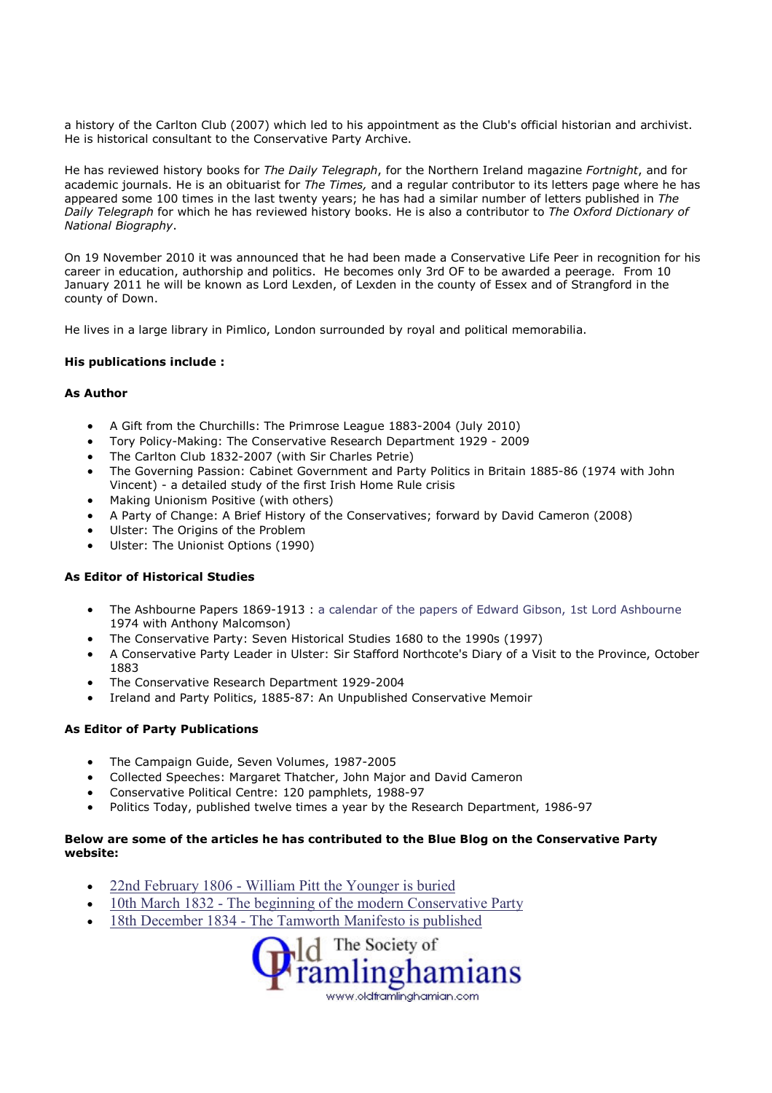a history of the Carlton Club (2007) which led to his appointment as the Club's official historian and archivist. He is historical consultant to the Conservative Party Archive.

He has reviewed history books for The Daily Telegraph, for the Northern Ireland magazine Fortnight, and for academic journals. He is an obituarist for The Times, and a regular contributor to its letters page where he has appeared some 100 times in the last twenty years; he has had a similar number of letters published in The Daily Telegraph for which he has reviewed history books. He is also a contributor to The Oxford Dictionary of National Biography.

On 19 November 2010 it was announced that he had been made a Conservative Life Peer in recognition for his career in education, authorship and politics. He becomes only 3rd OF to be awarded a peerage. From 10 January 2011 he will be known as Lord Lexden, of Lexden in the county of Essex and of Strangford in the county of Down.

He lives in a large library in Pimlico, London surrounded by royal and political memorabilia.

## His publications include :

## As Author

- A Gift from the Churchills: The Primrose League 1883-2004 (July 2010)
- Tory Policy-Making: The Conservative Research Department 1929 2009
- The Carlton Club 1832-2007 (with Sir Charles Petrie)
- The Governing Passion: Cabinet Government and Party Politics in Britain 1885-86 (1974 with John Vincent) - a detailed study of the first Irish Home Rule crisis
- Making Unionism Positive (with others)
- A Party of Change: A Brief History of the Conservatives; forward by David Cameron (2008)
- Ulster: The Origins of the Problem
- Ulster: The Unionist Options (1990)

## As Editor of Historical Studies

- The Ashbourne Papers 1869-1913 : a calendar of the papers of Edward Gibson, 1st Lord Ashbourne 1974 with Anthony Malcomson)
- The Conservative Party: Seven Historical Studies 1680 to the 1990s (1997)
- A Conservative Party Leader in Ulster: Sir Stafford Northcote's Diary of a Visit to the Province, October 1883
- The Conservative Research Department 1929-2004
- Ireland and Party Politics, 1885-87: An Unpublished Conservative Memoir

## As Editor of Party Publications

- The Campaign Guide, Seven Volumes, 1987-2005
- Collected Speeches: Margaret Thatcher, John Major and David Cameron
- Conservative Political Centre: 120 pamphlets, 1988-97
- Politics Today, published twelve times a year by the Research Department, 1986-97

# Below are some of the articles he has contributed to the Blue Blog on the Conservative Party website:

- 22nd February 1806 William Pitt the Younger is buried
- 10th March 1832 The beginning of the modern Conservative Party
- 18th December 1834 The Tamworth Manifesto is published